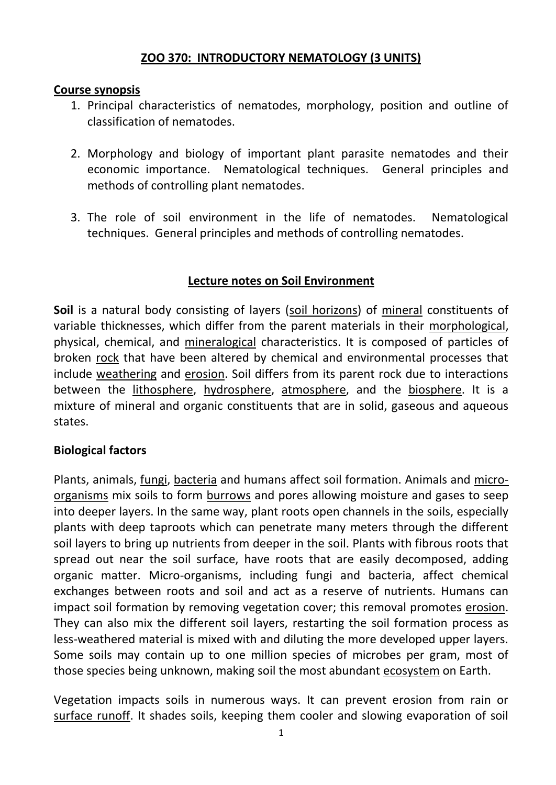## **ZOO 370: INTRODUCTORY NEMATOLOGY (3 UNITS)**

#### **Course synopsis**

- 1. Principal characteristics of nematodes, morphology, position and outline of classification of nematodes.
- 2. Morphology and biology of important plant parasite nematodes and their economic importance. Nematological techniques. General principles and methods of controlling plant nematodes.
- 3. The role of soil environment in the life of nematodes. Nematological techniques. General principles and methods of controlling nematodes.

## **Lecture notes on Soil Environment**

**Soil** is a natural body consisting of layers [\(soil horizons\)](http://en.wikipedia.org/wiki/Soil_horizons) of [mineral](http://en.wikipedia.org/wiki/Mineral) constituents of variable thicknesses, which differ from the parent materials in their [morphological,](http://en.wikipedia.org/wiki/Geomorphology) physical, chemical, and [mineralogical](http://en.wikipedia.org/wiki/Mineralogical) characteristics. It is composed of particles of broken [rock](http://en.wikipedia.org/wiki/Rock_%28geology%29) that have been altered by chemical and environmental processes that include [weathering](http://en.wikipedia.org/wiki/Weathering) and [erosion.](http://en.wikipedia.org/wiki/Erosion) Soil differs from its parent rock due to interactions between the [lithosphere,](http://en.wikipedia.org/wiki/Lithosphere) [hydrosphere,](http://en.wikipedia.org/wiki/Hydrosphere) [atmosphere,](http://en.wikipedia.org/wiki/Atmosphere) and the [biosphere.](http://en.wikipedia.org/wiki/Biosphere) It is a mixture of mineral and organic constituents that are in solid, gaseous and aqueous states.

# **Biological factors**

Plants, animals, [fungi,](http://en.wikipedia.org/wiki/Fungi) [bacteria](http://en.wikipedia.org/wiki/Bacteria) and humans affect soil formation. Animals and [micro](http://en.wikipedia.org/wiki/Micro-organisms)[organisms](http://en.wikipedia.org/wiki/Micro-organisms) mix soils to form [burrows](http://en.wikipedia.org/wiki/Burrow) and pores allowing moisture and gases to seep into deeper layers. In the same way, plant roots open channels in the soils, especially plants with deep taproots which can penetrate many meters through the different soil layers to bring up nutrients from deeper in the soil. Plants with fibrous roots that spread out near the soil surface, have roots that are easily decomposed, adding organic matter. Micro-organisms, including fungi and bacteria, affect chemical exchanges between roots and soil and act as a reserve of nutrients. Humans can impact soil formation by removing vegetation cover; this removal promotes [erosion.](http://en.wikipedia.org/wiki/Erosion) They can also mix the different soil layers, restarting the soil formation process as less-weathered material is mixed with and diluting the more developed upper layers. Some soils may contain up to one million species of microbes per gram, most of those species being unknown, making soil the most abundant [ecosystem](http://en.wikipedia.org/wiki/Ecosystem) on Earth.

Vegetation impacts soils in numerous ways. It can prevent erosion from rain or [surface runoff.](http://en.wikipedia.org/wiki/Surface_runoff) It shades soils, keeping them cooler and slowing evaporation of soil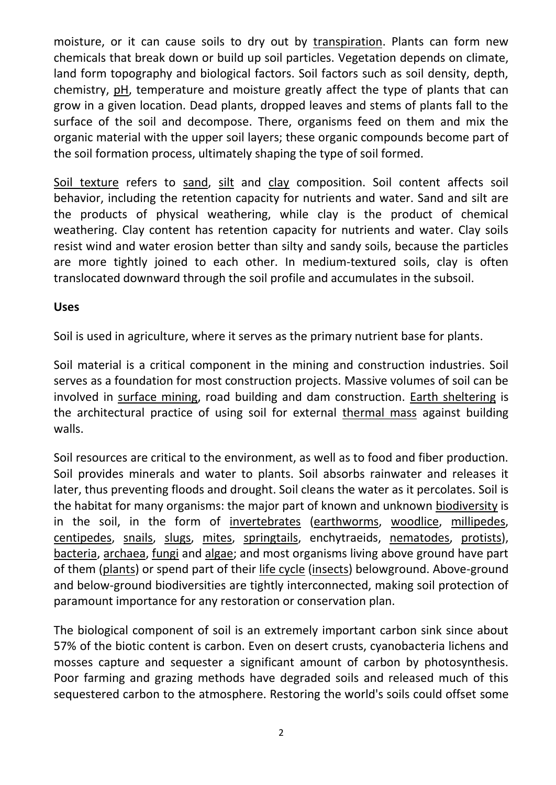moisture, or it can cause soils to dry out by [transpiration.](http://en.wikipedia.org/wiki/Transpiration) Plants can form new chemicals that break down or build up soil particles. Vegetation depends on climate, land form topography and biological factors. Soil factors such as soil density, depth, chemistry, [pH,](http://en.wikipedia.org/wiki/PH) temperature and moisture greatly affect the type of plants that can grow in a given location. Dead plants, dropped leaves and stems of plants fall to the surface of the soil and decompose. There, organisms feed on them and mix the organic material with the upper soil layers; these organic compounds become part of the soil formation process, ultimately shaping the type of soil formed.

[Soil texture](http://en.wikipedia.org/wiki/Soil_texture) refers to [sand,](http://en.wikipedia.org/wiki/Sand) [silt](http://en.wikipedia.org/wiki/Silt) and [clay](http://en.wikipedia.org/wiki/Clay) composition. Soil content affects soil behavior, including the retention capacity for nutrients and water. Sand and silt are the products of physical weathering, while clay is the product of chemical weathering. Clay content has retention capacity for nutrients and water. Clay soils resist wind and water erosion better than silty and sandy soils, because the particles are more tightly joined to each other. In medium-textured soils, clay is often translocated downward through the soil profile and accumulates in the subsoil.

#### **Uses**

Soil is used in agriculture, where it serves as the primary nutrient base for plants.

Soil material is a critical component in the mining and construction industries. Soil serves as a foundation for most construction projects. Massive volumes of soil can be involved in [surface mining,](http://en.wikipedia.org/wiki/Surface_mining) road building and dam construction. [Earth sheltering](http://en.wikipedia.org/wiki/Earth_sheltering) is the architectural practice of using soil for external [thermal mass](http://en.wikipedia.org/wiki/Thermal_mass) against building walls.

Soil resources are critical to the environment, as well as to food and fiber production. Soil provides minerals and water to plants. Soil absorbs rainwater and releases it later, thus preventing floods and drought. Soil cleans the water as it percolates. Soil is the habitat for many organisms: the major part of known and unknown [biodiversity](http://en.wikipedia.org/wiki/Biodiversity) is in the soil, in the form of [invertebrates](http://en.wikipedia.org/wiki/Invertebrates) [\(earthworms,](http://en.wikipedia.org/wiki/Earthworms) [woodlice,](http://en.wikipedia.org/wiki/Woodlice) [millipedes,](http://en.wikipedia.org/wiki/Millipedes) [centipedes,](http://en.wikipedia.org/wiki/Centipedes) [snails,](http://en.wikipedia.org/wiki/Snails) [slugs,](http://en.wikipedia.org/wiki/Slugs) [mites,](http://en.wikipedia.org/wiki/Mites) [springtails,](http://en.wikipedia.org/wiki/Springtails) enchytraeids, [nematodes,](http://en.wikipedia.org/wiki/Nematodes) [protists\)](http://en.wikipedia.org/wiki/Protists), [bacteria,](http://en.wikipedia.org/wiki/Bacteria) [archaea,](http://en.wikipedia.org/wiki/Archaea) [fungi](http://en.wikipedia.org/wiki/Fungi) and [algae;](http://en.wikipedia.org/wiki/Algae) and most organisms living above ground have part of them [\(plants\)](http://en.wikipedia.org/wiki/Plants) or spend part of their [life cycle](http://en.wikipedia.org/wiki/Biological_life_cycle) [\(insects\)](http://en.wikipedia.org/wiki/Insects) belowground. Above-ground and below-ground biodiversities are tightly interconnected, making soil protection of paramount importance for any restoration or conservation plan.

The biological component of soil is an extremely important carbon sink since about 57% of the biotic content is carbon. Even on desert crusts, cyanobacteria lichens and mosses capture and sequester a significant amount of carbon by photosynthesis. Poor farming and grazing methods have degraded soils and released much of this sequestered carbon to the atmosphere. Restoring the world's soils could offset some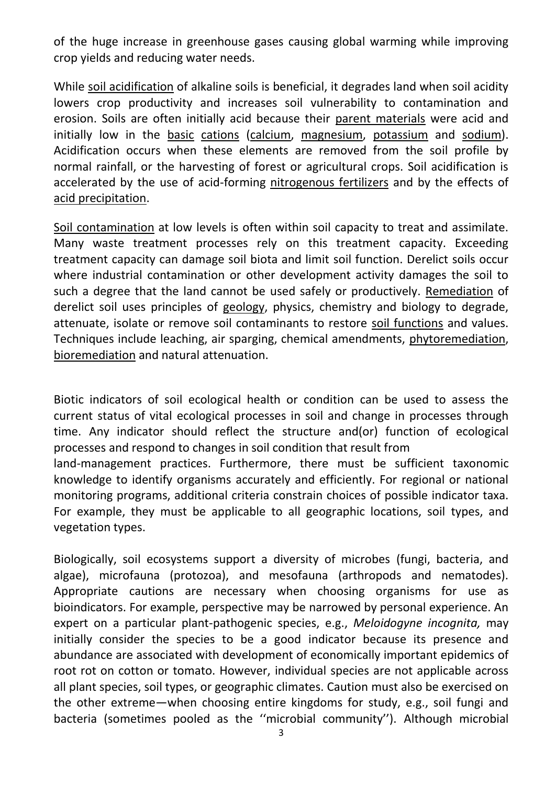of the huge increase in greenhouse gases causing global warming while improving crop yields and reducing water needs.

While [soil acidification](http://en.wikipedia.org/wiki/Soil_acidification) of alkaline soils is beneficial, it degrades land when soil acidity lowers crop productivity and increases soil vulnerability to contamination and erosion. Soils are often initially acid because their [parent materials](http://en.wikipedia.org/wiki/Parent_material) were acid and initially low in the [basic](http://en.wikipedia.org/wiki/Base_%28chemistry%29) [cations](http://en.wikipedia.org/wiki/Cation) [\(calcium,](http://en.wikipedia.org/wiki/Calcium) [magnesium,](http://en.wikipedia.org/wiki/Magnesium) [potassium](http://en.wikipedia.org/wiki/Potassium) and [sodium\)](http://en.wikipedia.org/wiki/Sodium). Acidification occurs when these elements are removed from the soil profile by normal rainfall, or the harvesting of forest or agricultural crops. Soil acidification is accelerated by the use of acid-forming [nitrogenous fertilizers](http://en.wikipedia.org/wiki/Nitrogenous_fertilizer) and by the effects of [acid precipitation.](http://en.wikipedia.org/wiki/Acid_precipitation)

[Soil contamination](http://en.wikipedia.org/wiki/Soil_contamination) at low levels is often within soil capacity to treat and assimilate. Many waste treatment processes rely on this treatment capacity. Exceeding treatment capacity can damage soil biota and limit soil function. Derelict soils occur where industrial contamination or other development activity damages the soil to such a degree that the land cannot be used safely or productively. [Remediation](http://en.wikipedia.org/wiki/Environmental_remediation) of derelict soil uses principles of [geology,](http://en.wikipedia.org/wiki/Geology) physics, chemistry and biology to degrade, attenuate, isolate or remove soil contaminants to restore [soil functions](http://en.wikipedia.org/wiki/Soil_functions) and values. Techniques include leaching, air sparging, chemical amendments, [phytoremediation,](http://en.wikipedia.org/wiki/Phytoremediation) [bioremediation](http://en.wikipedia.org/wiki/Bioremediation) and natural attenuation.

Biotic indicators of soil ecological health or condition can be used to assess the current status of vital ecological processes in soil and change in processes through time. Any indicator should reflect the structure and(or) function of ecological processes and respond to changes in soil condition that result from

land-management practices. Furthermore, there must be sufficient taxonomic knowledge to identify organisms accurately and efficiently. For regional or national monitoring programs, additional criteria constrain choices of possible indicator taxa. For example, they must be applicable to all geographic locations, soil types, and vegetation types.

Biologically, soil ecosystems support a diversity of microbes (fungi, bacteria, and algae), microfauna (protozoa), and mesofauna (arthropods and nematodes). Appropriate cautions are necessary when choosing organisms for use as bioindicators. For example, perspective may be narrowed by personal experience. An expert on a particular plant-pathogenic species, e.g., *Meloidogyne incognita,* may initially consider the species to be a good indicator because its presence and abundance are associated with development of economically important epidemics of root rot on cotton or tomato. However, individual species are not applicable across all plant species, soil types, or geographic climates. Caution must also be exercised on the other extreme—when choosing entire kingdoms for study, e.g., soil fungi and bacteria (sometimes pooled as the ''microbial community''). Although microbial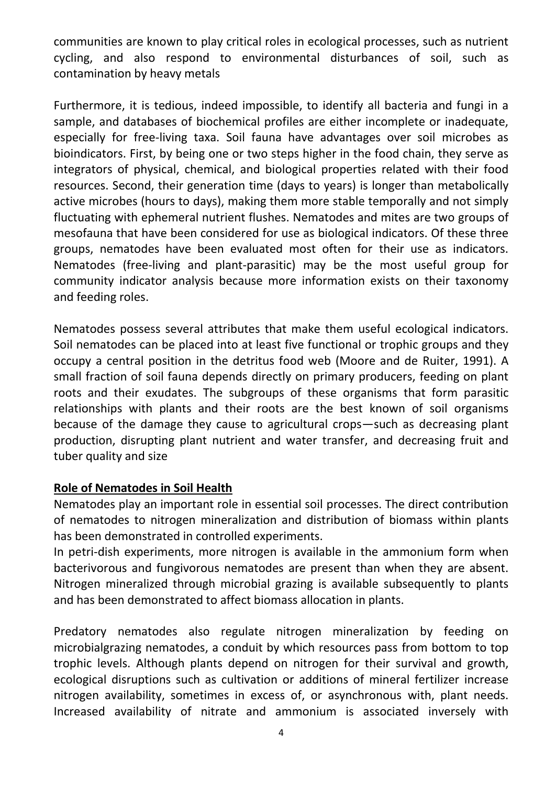communities are known to play critical roles in ecological processes, such as nutrient cycling, and also respond to environmental disturbances of soil, such as contamination by heavy metals

Furthermore, it is tedious, indeed impossible, to identify all bacteria and fungi in a sample, and databases of biochemical profiles are either incomplete or inadequate, especially for free-living taxa. Soil fauna have advantages over soil microbes as bioindicators. First, by being one or two steps higher in the food chain, they serve as integrators of physical, chemical, and biological properties related with their food resources. Second, their generation time (days to years) is longer than metabolically active microbes (hours to days), making them more stable temporally and not simply fluctuating with ephemeral nutrient flushes. Nematodes and mites are two groups of mesofauna that have been considered for use as biological indicators. Of these three groups, nematodes have been evaluated most often for their use as indicators. Nematodes (free-living and plant-parasitic) may be the most useful group for community indicator analysis because more information exists on their taxonomy and feeding roles.

Nematodes possess several attributes that make them useful ecological indicators. Soil nematodes can be placed into at least five functional or trophic groups and they occupy a central position in the detritus food web (Moore and de Ruiter, 1991). A small fraction of soil fauna depends directly on primary producers, feeding on plant roots and their exudates. The subgroups of these organisms that form parasitic relationships with plants and their roots are the best known of soil organisms because of the damage they cause to agricultural crops—such as decreasing plant production, disrupting plant nutrient and water transfer, and decreasing fruit and tuber quality and size

#### **Role of Nematodes in Soil Health**

Nematodes play an important role in essential soil processes. The direct contribution of nematodes to nitrogen mineralization and distribution of biomass within plants has been demonstrated in controlled experiments.

In petri-dish experiments, more nitrogen is available in the ammonium form when bacterivorous and fungivorous nematodes are present than when they are absent. Nitrogen mineralized through microbial grazing is available subsequently to plants and has been demonstrated to affect biomass allocation in plants.

Predatory nematodes also regulate nitrogen mineralization by feeding on microbialgrazing nematodes, a conduit by which resources pass from bottom to top trophic levels. Although plants depend on nitrogen for their survival and growth, ecological disruptions such as cultivation or additions of mineral fertilizer increase nitrogen availability, sometimes in excess of, or asynchronous with, plant needs. Increased availability of nitrate and ammonium is associated inversely with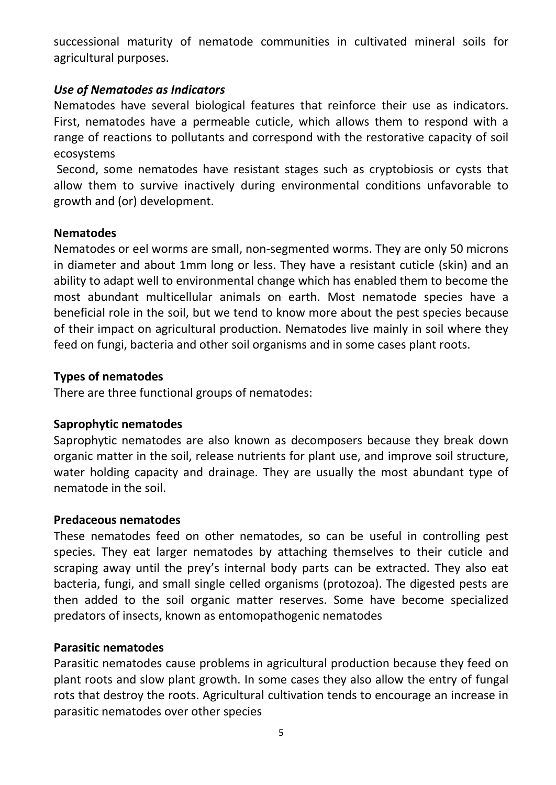successional maturity of nematode communities in cultivated mineral soils for agricultural purposes.

#### *Use of Nematodes as Indicators*

Nematodes have several biological features that reinforce their use as indicators. First, nematodes have a permeable cuticle, which allows them to respond with a range of reactions to pollutants and correspond with the restorative capacity of soil ecosystems

Second, some nematodes have resistant stages such as cryptobiosis or cysts that allow them to survive inactively during environmental conditions unfavorable to growth and (or) development.

## **Nematodes**

Nematodes or eel worms are small, non-segmented worms. They are only 50 microns in diameter and about 1mm long or less. They have a resistant cuticle (skin) and an ability to adapt well to environmental change which has enabled them to become the most abundant multicellular animals on earth. Most nematode species have a beneficial role in the soil, but we tend to know more about the pest species because of their impact on agricultural production. Nematodes live mainly in soil where they feed on fungi, bacteria and other soil organisms and in some cases plant roots.

## **Types of nematodes**

There are three functional groups of nematodes:

# **Saprophytic nematodes**

Saprophytic nematodes are also known as decomposers because they break down organic matter in the soil, release nutrients for plant use, and improve soil structure, water holding capacity and drainage. They are usually the most abundant type of nematode in the soil.

# **Predaceous nematodes**

These nematodes feed on other nematodes, so can be useful in controlling pest species. They eat larger nematodes by attaching themselves to their cuticle and scraping away until the prey's internal body parts can be extracted. They also eat bacteria, fungi, and small single celled organisms (protozoa). The digested pests are then added to the soil organic matter reserves. Some have become specialized predators of insects, known as entomopathogenic nematodes

# **Parasitic nematodes**

Parasitic nematodes cause problems in agricultural production because they feed on plant roots and slow plant growth. In some cases they also allow the entry of fungal rots that destroy the roots. Agricultural cultivation tends to encourage an increase in parasitic nematodes over other species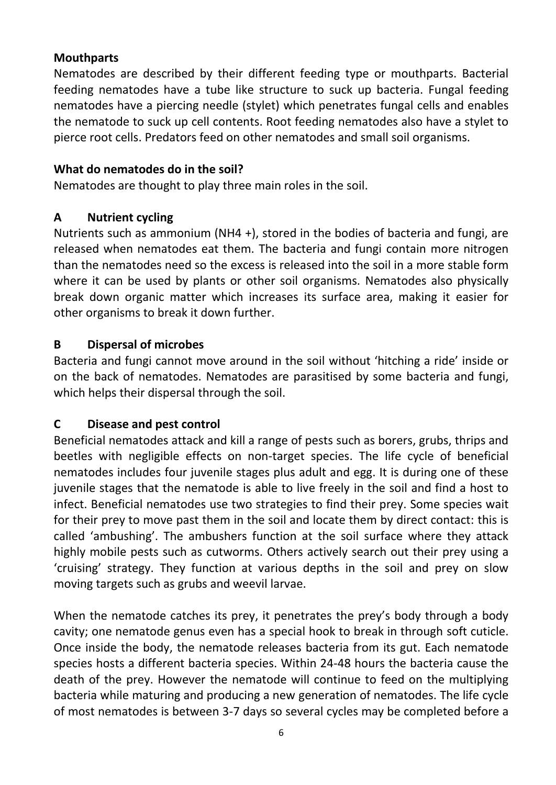## **Mouthparts**

Nematodes are described by their different feeding type or mouthparts. Bacterial feeding nematodes have a tube like structure to suck up bacteria. Fungal feeding nematodes have a piercing needle (stylet) which penetrates fungal cells and enables the nematode to suck up cell contents. Root feeding nematodes also have a stylet to pierce root cells. Predators feed on other nematodes and small soil organisms.

# **What do nematodes do in the soil?**

Nematodes are thought to play three main roles in the soil.

# **A Nutrient cycling**

Nutrients such as ammonium (NH4 +), stored in the bodies of bacteria and fungi, are released when nematodes eat them. The bacteria and fungi contain more nitrogen than the nematodes need so the excess is released into the soil in a more stable form where it can be used by plants or other soil organisms. Nematodes also physically break down organic matter which increases its surface area, making it easier for other organisms to break it down further.

## **B Dispersal of microbes**

Bacteria and fungi cannot move around in the soil without 'hitching a ride' inside or on the back of nematodes. Nematodes are parasitised by some bacteria and fungi, which helps their dispersal through the soil.

# **C Disease and pest control**

Beneficial nematodes attack and kill a range of pests such as borers, grubs, thrips and beetles with negligible effects on non-target species. The life cycle of beneficial nematodes includes four juvenile stages plus adult and egg. It is during one of these juvenile stages that the nematode is able to live freely in the soil and find a host to infect. Beneficial nematodes use two strategies to find their prey. Some species wait for their prey to move past them in the soil and locate them by direct contact: this is called 'ambushing'. The ambushers function at the soil surface where they attack highly mobile pests such as cutworms. Others actively search out their prey using a 'cruising' strategy. They function at various depths in the soil and prey on slow moving targets such as grubs and weevil larvae.

When the nematode catches its prey, it penetrates the prey's body through a body cavity; one nematode genus even has a special hook to break in through soft cuticle. Once inside the body, the nematode releases bacteria from its gut. Each nematode species hosts a different bacteria species. Within 24-48 hours the bacteria cause the death of the prey. However the nematode will continue to feed on the multiplying bacteria while maturing and producing a new generation of nematodes. The life cycle of most nematodes is between 3-7 days so several cycles may be completed before a